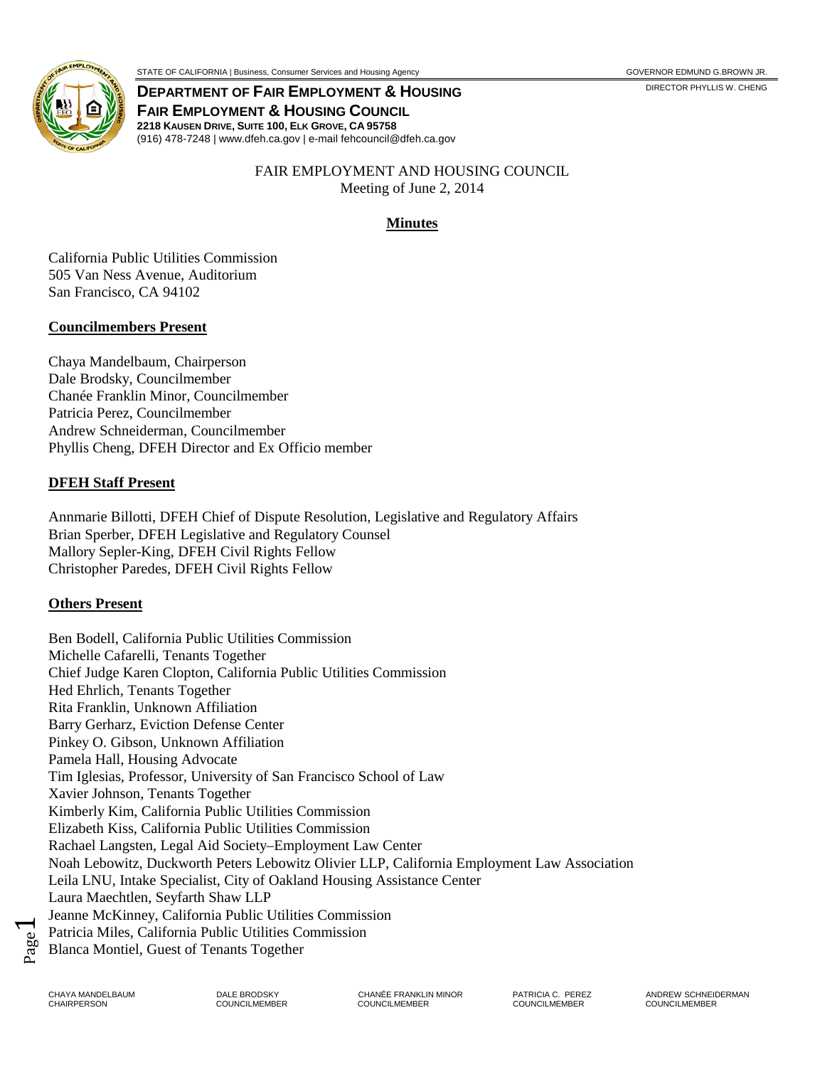

STATE OF CALIFORNIA | Business, Consumer Services and Housing Agency GOVERNOR EDMUND G.BROWN JR.

**DEPARTMENT OF FAIR EMPLOYMENT & HOUSING DEPARTMENT ON A SOME OF FAIR SOMET OF FAIR FAIR EMPLOYMENT & HOUSING COUNCIL 2218 KAUSEN DRIVE, SUITE 100, ELK GROVE, CA 95758** (916) 478-7248 | www.dfeh.ca.gov | e-mail fehcouncil@dfeh.ca.gov

> FAIR EMPLOYMENT AND HOUSING COUNCIL Meeting of June 2, 2014

# **Minutes**

California Public Utilities Commission 505 Van Ness Avenue, Auditorium San Francisco, CA 94102

# **Councilmembers Present**

Chaya Mandelbaum, Chairperson Dale Brodsky, Councilmember Chanée Franklin Minor, Councilmember Patricia Perez, Councilmember Andrew Schneiderman, Councilmember Phyllis Cheng, DFEH Director and Ex Officio member

# **DFEH Staff Present**

Annmarie Billotti, DFEH Chief of Dispute Resolution, Legislative and Regulatory Affairs Brian Sperber, DFEH Legislative and Regulatory Counsel Mallory Sepler-King, DFEH Civil Rights Fellow Christopher Paredes, DFEH Civil Rights Fellow

# **Others Present**

Ben Bodell, California Public Utilities Commission Michelle Cafarelli, Tenants Together Chief Judge Karen Clopton, California Public Utilities Commission Hed Ehrlich, Tenants Together Rita Franklin, Unknown Affiliation Barry Gerharz, Eviction Defense Center Pinkey O. Gibson, Unknown Affiliation Pamela Hall, Housing Advocate Tim Iglesias, Professor, University of San Francisco School of Law Xavier Johnson, Tenants Together Kimberly Kim, California Public Utilities Commission Elizabeth Kiss, California Public Utilities Commission Rachael Langsten, Legal Aid Society–Employment Law Center Noah Lebowitz, Duckworth Peters Lebowitz Olivier LLP, California Employment Law Association Leila LNU, Intake Specialist, City of Oakland Housing Assistance Center Laura Maechtlen, Seyfarth Shaw LLP Jeanne McKinney, California Public Utilities Commission Patricia Miles, California Public Utilities Commission Blanca Montiel, Guest of Tenants Together

Page  $\blacktriangleleft$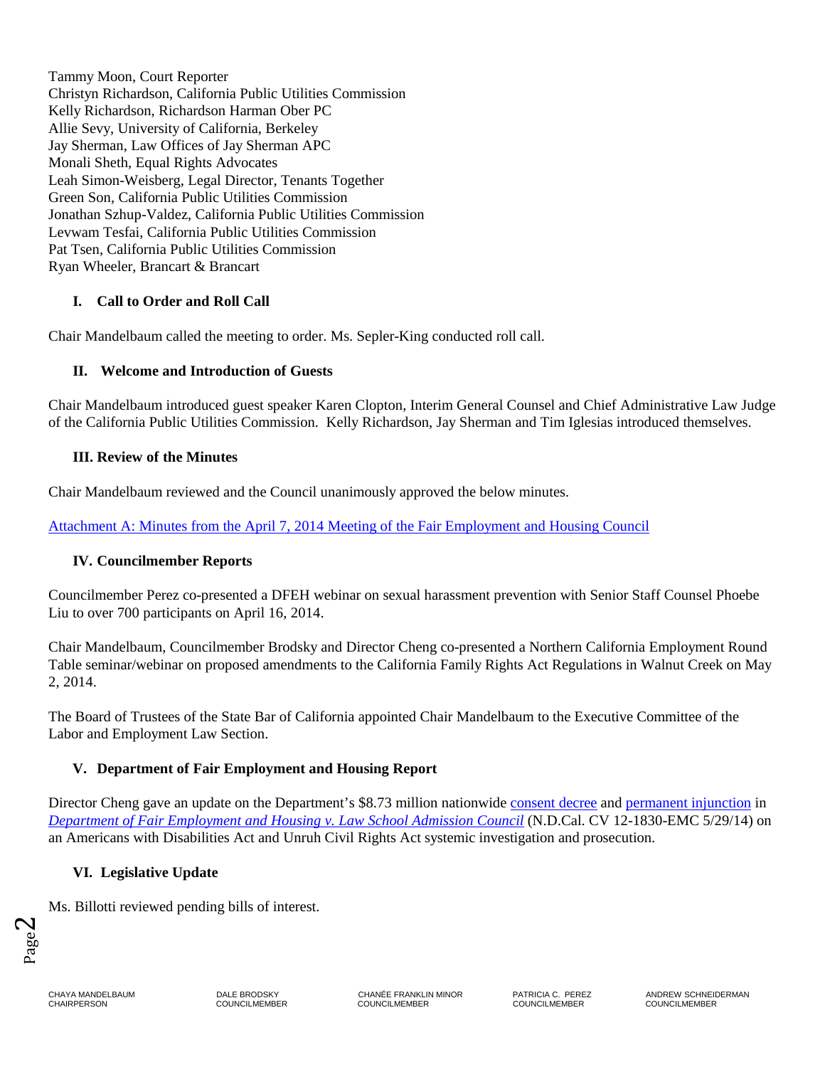Tammy Moon, Court Reporter Christyn Richardson, California Public Utilities Commission Kelly Richardson, Richardson Harman Ober PC Allie Sevy, University of California, Berkeley Jay Sherman, Law Offices of Jay Sherman APC Monali Sheth, Equal Rights Advocates Leah Simon-Weisberg, Legal Director, Tenants Together Green Son, California Public Utilities Commission Jonathan Szhup-Valdez, California Public Utilities Commission Levwam Tesfai, California Public Utilities Commission Pat Tsen, California Public Utilities Commission Ryan Wheeler, Brancart & Brancart

# **I. Call to Order and Roll Call**

Chair Mandelbaum called the meeting to order. Ms. Sepler-King conducted roll call.

## **II. Welcome and Introduction of Guests**

Chair Mandelbaum introduced guest speaker Karen Clopton, Interim General Counsel and Chief Administrative Law Judge of the California Public Utilities Commission. Kelly Richardson, Jay Sherman and Tim Iglesias introduced themselves.

### **III. Review of the Minutes**

Chair Mandelbaum reviewed and the Council unanimously approved the below minutes.

[Attachment A: Minutes from the April 7, 2014 Meeting of the Fair Employment and Housing Council](https://cms.portal.ca.gov/dfeh/res/docs/Council/6-2-14/Attachment%20A%20Minutes%20of%204-7-14%20FINAL.pdf)

## **IV. Councilmember Reports**

Councilmember Perez co-presented a DFEH webinar on sexual harassment prevention with Senior Staff Counsel Phoebe Liu to over 700 participants on April 16, 2014.

Chair Mandelbaum, Councilmember Brodsky and Director Cheng co-presented a Northern California Employment Round Table seminar/webinar on proposed amendments to the California Family Rights Act Regulations in Walnut Creek on May 2, 2014.

The Board of Trustees of the State Bar of California appointed Chair Mandelbaum to the Executive Committee of the Labor and Employment Law Section.

### **V. Department of Fair Employment and Housing Report**

Director Cheng gave an update on the Department's \$8.73 million nationwide [consent decree](http://www.dfeh.ca.gov/res/docs/LSAC/LSAC%20OrderConsentDecree.pdf) and [permanent injunction](http://www.dfeh.ca.gov/res/docs/LSAC/LSAC%20OrderandPermanentInjunction.pdf) in *[Department of Fair Employment and Housing v. Law School Admission Council](http://www.dfeh.ca.gov/res/docs/LSAC/Third%20Amended%20LSAC%20Group%20and%20Class%20Relief%20Complaint.pdf)* (N.D.Cal. CV 12-1830-EMC 5/29/14) on an Americans with Disabilities Act and Unruh Civil Rights Act systemic investigation and prosecution.

## **VI. Legislative Update**

Ms. Billotti reviewed pending bills of interest.

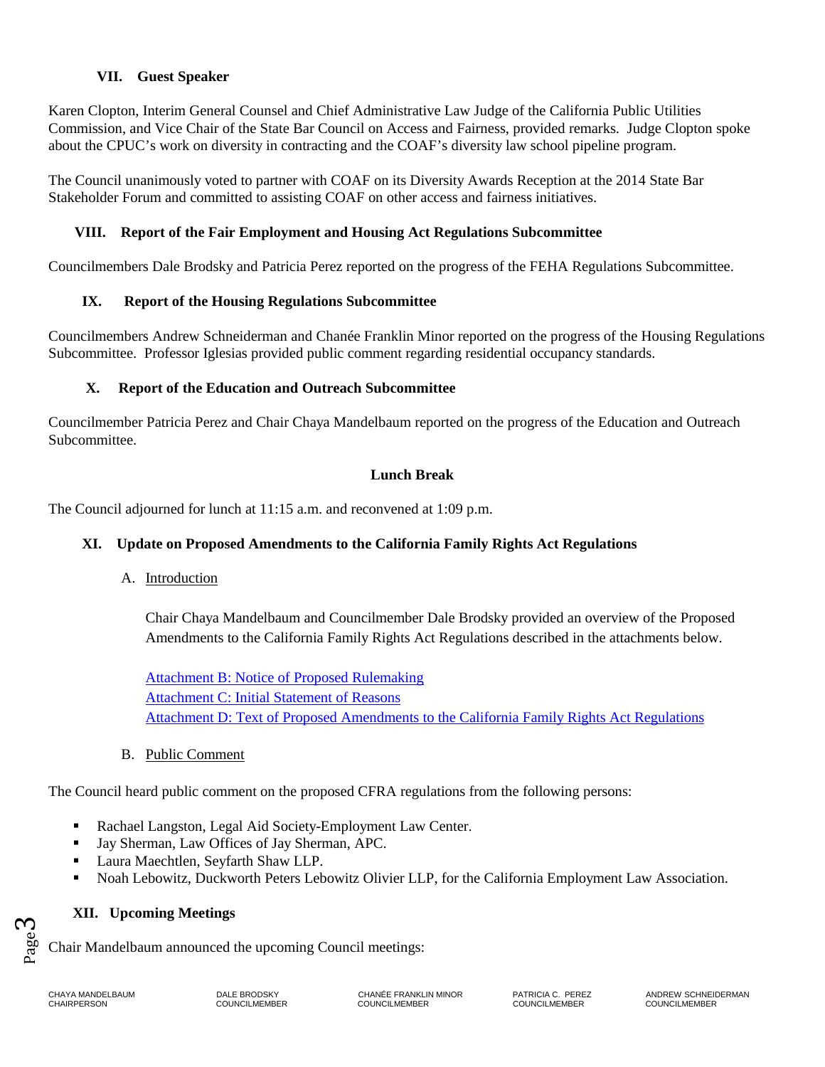VII. Guest Speaker<br>
Karen Clopton, Interim Genera<br>
Commission, and Vice Chair o<br>
about the CPUC's work on div<br>
The Council unanimously vote<br>
Stakeholder Forum and commi<br>
VIII. Report of the Fai<br>
Councilmembers Dale Brodsky Karen Clopton, Interim General Counsel and Chief Administrative Law Judge of the California Public Utilities Commission, and Vice Chair of the State Bar Council on Access and Fairness, provided remarks. Judge Clopton spoke about the CPUC's work on diversity in contracting and the COAF's diversity law school pipeline program.

The Council unanimously voted to partner with COAF on its Diversity Awards Reception at the 2014 State Bar Stakeholder Forum and committed to assisting COAF on other access and fairness initiatives.

## **VIII. Report of the Fair Employment and Housing Act Regulations Subcommittee**

Councilmembers Dale Brodsky and Patricia Perez reported on the progress of the FEHA Regulations Subcommittee.

## **IX. Report of the Housing Regulations Subcommittee**

Councilmembers Andrew Schneiderman and Chanée Franklin Minor reported on the progress of the Housing Regulations Subcommittee. Professor Iglesias provided public comment regarding residential occupancy standards.

### **X. Report of the Education and Outreach Subcommittee**

Councilmember Patricia Perez and Chair Chaya Mandelbaum reported on the progress of the Education and Outreach Subcommittee.

### **Lunch Break**

The Council adjourned for lunch at 11:15 a.m. and reconvened at 1:09 p.m.

## **XI. Update on Proposed Amendments to the California Family Rights Act Regulations**

A. Introduction

Chair Chaya Mandelbaum and Councilmember Dale Brodsky provided an overview of the Proposed Amendments to the California Family Rights Act Regulations described in the attachments below.

[Attachment B: Notice of Proposed Rulemaking](http://www.dfeh.ca.gov/res/docs/Council/4-7-14%20Meeting/Attachment%20B%20-%20CFRA%20Rulemaking%20Notice%20final.pdf) [Attachment C: Initial Statement of Reasons](http://www.dfeh.ca.gov/res/docs/Council/4-7-14%20Meeting/Attachment%20C%20-%20CFRA%20Initial%20Statement%20of%20Reasons%20final.pdf) [Attachment D: Text of Proposed Amendments to the California Family Rights Act Regulations](http://www.dfeh.ca.gov/res/docs/Council/4-7-14%20Meeting/Attachment%20D%20-%20Text%20of%20Proposed%20Amendments%20to%20CFRA%20Regulations%20final.pdf)

B. Public Comment

The Council heard public comment on the proposed CFRA regulations from the following persons:

- Rachael Langston, Legal Aid Society-Employment Law Center.
- Jay Sherman, Law Offices of Jay Sherman, APC.
- Laura Maechtlen, Seyfarth Shaw LLP.
- Noah Lebowitz, Duckworth Peters Lebowitz Olivier LLP, for the California Employment Law Association.

## **XII. Upcoming Meetings**

Chair Mandelbaum announced the upcoming Council meetings:

 $P_{\text{age}}$ <sup>3</sup>